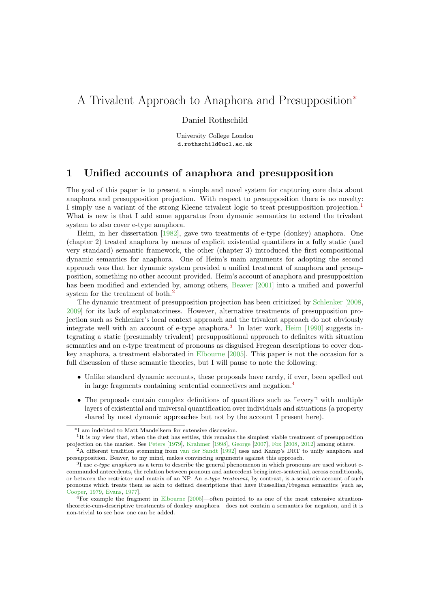# A Trivalent Approach to Anaphora and Presupposition<sup>∗</sup>

Daniel Rothschild

University College London d.rothschild@ucl.ac.uk

### 1 Unified accounts of anaphora and presupposition

The goal of this paper is to present a simple and novel system for capturing core data about anaphora and presupposition projection. With respect to presupposition there is no novelty: I simply use a variant of the strong Kleene trivalent logic to treat presupposition projection.[1](#page-0-0) What is new is that I add some apparatus from dynamic semantics to extend the trivalent system to also cover e-type anaphora.

Heim, in her dissertation [\[1982\]](#page-11-0), gave two treatments of e-type (donkey) anaphora. One (chapter 2) treated anaphora by means of explicit existential quantifiers in a fully static (and very standard) semantic framework, the other (chapter 3) introduced the first compositional dynamic semantics for anaphora. One of Heim's main arguments for adopting the second approach was that her dynamic system provided a unified treatment of anaphora and presupposition, something no other account provided. Heim's account of anaphora and presupposition has been modified and extended by, among others, [Beaver](#page-10-0) [\[2001\]](#page-10-0) into a unified and powerful system for the treatment of both.<sup>[2](#page-0-1)</sup>

The dynamic treatment of presupposition projection has been criticized by [Schlenker](#page-12-0) [\[2008,](#page-12-0) [2009\]](#page-12-1) for its lack of explanatoriness. However, alternative treatments of presupposition projection such as Schlenker's local context approach and the trivalent approach do not obviously integrate well with an account of e-type anaphora.<sup>[3](#page-0-2)</sup> In later work, [Heim](#page-11-1) [\[1990\]](#page-11-1) suggests integrating a static (presumably trivalent) presuppositional approach to definites with situation semantics and an e-type treatment of pronouns as disguised Fregean descriptions to cover donkey anaphora, a treatment elaborated in [Elbourne](#page-11-2) [\[2005\]](#page-11-2). This paper is not the occasion for a full discussion of these semantic theories, but I will pause to note the following:

- Unlike standard dynamic accounts, these proposals have rarely, if ever, been spelled out in large fragments containing sentential connectives and negation.[4](#page-0-3)
- The proposals contain complex definitions of quantifiers such as  $\lceil \text{every} \rceil$  with multiple layers of existential and universal quantification over individuals and situations (a property shared by most dynamic approaches but not by the account I present here).

<span id="page-0-0"></span><sup>∗</sup>I am indebted to Matt Mandelkern for extensive discussion.

<sup>&</sup>lt;sup>1</sup>It is my view that, when the dust has settles, this remains the simplest viable treatment of presupposition projection on the market. See [Peters](#page-11-3) [\[1979\]](#page-11-3), [Krahmer](#page-11-4) [\[1998\]](#page-11-4), [George](#page-11-5) [\[2007\]](#page-11-5), [Fox](#page-11-6) [\[2008,](#page-11-6) [2012\]](#page-11-7) among others. <sup>2</sup>A different tradition stemming from [van der Sandt](#page-12-2) [\[1992\]](#page-12-2) uses and Kamp's DRT to unify anaphora and

<span id="page-0-1"></span>presupposition. Beaver, to my mind, makes convincing arguments against this approach.

<span id="page-0-2"></span> $3I$  use *e-type anaphora* as a term to describe the general phenomenon in which pronouns are used without ccommanded antecedents, the relation between pronoun and antecedent being inter-sentential, across conditionals, or between the restrictor and matrix of an NP. An e-type treatment, by contrast, is a semantic account of such pronouns which treats them as akin to defined descriptions that have Russellian/Fregean semantics [such as, [Cooper,](#page-10-1) [1979,](#page-10-1) [Evans,](#page-11-8) [1977\]](#page-11-8).

<span id="page-0-3"></span><sup>4</sup>For example the fragment in [Elbourne](#page-11-2) [\[2005\]](#page-11-2)—often pointed to as one of the most extensive situationtheoretic-cum-descriptive treatments of donkey anaphora—does not contain a semantics for negation, and it is non-trivial to see how one can be added.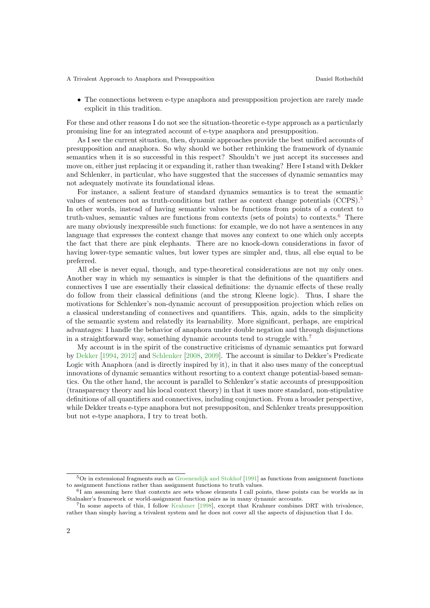A Trivalent Approach to Anaphora and Presupposition Daniel Rothschild

• The connections between e-type anaphora and presupposition projection are rarely made explicit in this tradition.

For these and other reasons I do not see the situation-theoretic e-type approach as a particularly promising line for an integrated account of e-type anaphora and presupposition.

As I see the current situation, then, dynamic approaches provide the best unified accounts of presupposition and anaphora. So why should we bother rethinking the framework of dynamic semantics when it is so successful in this respect? Shouldn't we just accept its successes and move on, either just replacing it or expanding it, rather than tweaking? Here I stand with Dekker and Schlenker, in particular, who have suggested that the successes of dynamic semantics may not adequately motivate its foundational ideas.

For instance, a salient feature of standard dynamics semantics is to treat the semantic values of sentences not as truth-conditions but rather as context change potentials  $(CCPS)$ .<sup>[5](#page-1-0)</sup> In other words, instead of having semantic values be functions from points of a context to truth-values, semantic values are functions from contexts (sets of points) to contexts.[6](#page-1-1) There are many obviously inexpressible such functions: for example, we do not have a sentences in any language that expresses the context change that moves any context to one which only accepts the fact that there are pink elephants. There are no knock-down considerations in favor of having lower-type semantic values, but lower types are simpler and, thus, all else equal to be preferred.

All else is never equal, though, and type-theoretical considerations are not my only ones. Another way in which my semantics is simpler is that the definitions of the quantifiers and connectives I use are essentially their classical definitions: the dynamic effects of these really do follow from their classical definitions (and the strong Kleene logic). Thus, I share the motivations for Schlenker's non-dynamic account of presupposition projection which relies on a classical understanding of connectives and quantifiers. This, again, adds to the simplicity of the semantic system and relatedly its learnability. More significant, perhaps, are empirical advantages: I handle the behavior of anaphora under double negation and through disjunctions in a straightforward way, something dynamic accounts tend to struggle with.[7](#page-1-2)

My account is in the spirit of the constructive criticisms of dynamic semantics put forward by [Dekker](#page-10-2) [\[1994,](#page-10-2) [2012\]](#page-11-9) and [Schlenker](#page-12-0) [\[2008,](#page-12-0) [2009\]](#page-12-1). The account is similar to Dekker's Predicate Logic with Anaphora (and is directly inspired by it), in that it also uses many of the conceptual innovations of dynamic semantics without resorting to a context change potential-based semantics. On the other hand, the account is parallel to Schlenker's static accounts of presupposition (transparency theory and his local context theory) in that it uses more standard, non-stipulative definitions of all quantifiers and connectives, including conjunction. From a broader perspective, while Dekker treats e-type anaphora but not presuppositon, and Schlenker treats presupposition but not e-type anaphora, I try to treat both.

<span id="page-1-2"></span>7 In some aspects of this, I follow [Krahmer](#page-11-4) [\[1998\]](#page-11-4), except that Krahmer combines DRT with trivalence, rather than simply having a trivalent system and he does not cover all the aspects of disjunction that I do.

<span id="page-1-0"></span><sup>5</sup>Or in extensional fragments such as [Groenendijk and Stokhof](#page-11-10) [\[1991\]](#page-11-10) as functions from assignment functions to assignment functions rather than assignment functions to truth values.

<span id="page-1-1"></span><sup>6</sup> I am assuming here that contexts are sets whose elements I call points, these points can be worlds as in Stalnaker's framework or world-assignment function pairs as in many dynamic accounts.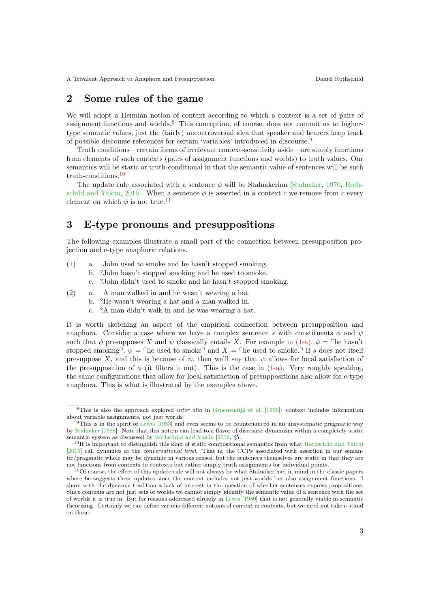### 2 Some rules of the game

We will adopt a Heimian notion of context according to which a context is a set of pairs of assignment functions and worlds.[8](#page-2-0) This conception, of course, does not commit us to highertype semantic values, just the (fairly) uncontroversial idea that speaker and hearers keep track of possible discourse references for certain 'variables' introduced in discourse.[9](#page-2-1)

Truth conditions—certain forms of irrelevant context-sensitivity aside—are simply functions from elements of such contexts (pairs of assignment functions and worlds) to truth values. Our semantics will be static or truth-conditional in that the semantic value of sentences will be such truth-conditions.[10](#page-2-2)

The update rule associated with a sentence  $\phi$  will be Stalnakerian [\[Stalnaker,](#page-12-3) [1970,](#page-12-3) [Roth](#page-12-4)[schild and Yalcin,](#page-12-4) [2015\]](#page-12-4). When a sentence  $\phi$  is asserted in a context c we remove from c every element on which  $\phi$  is not true.<sup>[11](#page-2-3)</sup>

### 3 E-type pronouns and presuppositions

The following examples illustrate a small part of the connection between presupposition projection and e-type anaphoric relations.

- <span id="page-2-4"></span>(1) a. John used to smoke and he hasn't stopped smoking.
	- b. ?John hasn't stopped smoking and he used to smoke.
		- c. ?John didn't used to smoke and he hasn't stopped smoking.
- (2) a. A man walked in and he wasn't wearing a hat.
	- b. ?He wasn't wearing a hat and a man walked in.
	- c. ?A man didn't walk in and he was wearing a hat.

It is worth sketching an aspect of the empirical connection between presupposition and anaphora. Consider a case where we have a complex sentence s with constituents  $\phi$  and  $\psi$ such that  $\phi$  presupposes X and  $\psi$  classically entails X. For example in [\(1-a\),](#page-2-4)  $\phi = \text{The hasn't}$ stopped smoking<sup> $\bar{\mathcal{L}}, \psi = \bar{\mathcal{L}}$  he used to smoke and  $X = \bar{\mathcal{L}}$  and  $X = \bar{\mathcal{L}}$  is does not itself</sup> presuppose X, and this is because of  $\psi$ , then we'll say that  $\psi$  allows for local satisfaction of the presupposition of  $\phi$  (it filters it out). This is the case in [\(1-a\).](#page-2-4) Very roughly speaking, the same configurations that allow for local satisfaction of presuppositions also allow for e-type anaphora. This is what is illustrated by the examples above.

<span id="page-2-0"></span> ${}^{8}$ This is also the approach explored *inter alia* in [Groenendijk et al.](#page-11-11) [\[1996\]](#page-11-11): context includes information about variable assignments, not just worlds

<span id="page-2-1"></span><sup>9</sup>This is in the spirit of [Lewis](#page-11-12) [\[1983\]](#page-11-12) and even seems to be countenanced in an unsystematic pragmatic way by [Stalnaker](#page-12-5) [\[1998\]](#page-12-5). Note that this notion can lead to a flavor of discourse dynamism within a completely static semantic system as discussed by [Rothschild and Yalcin](#page-12-6) [\[2016,](#page-12-6) §5].

<span id="page-2-2"></span> $10$ It is important to distinguish this kind of static compositional semantics from what [Rothschild and Yalcin](#page-12-4) [\[2015\]](#page-12-4) call dynamics at the *conversational level*. That is, the CCPs associated with assertion in our semantic/pragmatic whole may be dynamic in various senses, but the sentences themselves are static in that they are not functions from contexts to contexts but rather simply truth assignments for individual points.

<span id="page-2-3"></span><sup>11</sup>Of course, the effect of this update rule will not always be what Stalnaker had in mind in the classic papers where he suggests these updates since the context includes not just worlds but also assignment functions. I share with the dynamic tradition a lack of interest in the question of whether sentences express propositions. Since contexts are not just sets of worlds we cannot simply identify the semantic value of a sentence with the set of worlds it is true in. But for reasons addressed already in [Lewis](#page-11-13) [\[1980\]](#page-11-13) that is not generally viable in semantic theorizing. Certainly we can define various different notions of content in contexts, but we need not take a stand on these.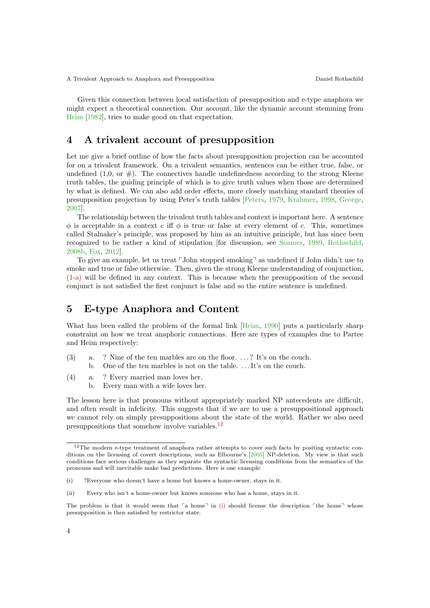Given this connection between local satisfaction of presupposition and e-type anaphora we might expect a theoretical connection. Our account, like the dynamic account stemming from [Heim](#page-11-0) [\[1982\]](#page-11-0), tries to make good on that expectation.

### 4 A trivalent account of presupposition

Let me give a brief outline of how the facts about presupposition projection can be accounted for on a trivalent framework. On a trivalent semantics, sentences can be either true, false, or undefined  $(1,0, \text{ or } \#)$ . The connectives handle undefinedness according to the strong Kleene truth tables, the guiding principle of which is to give truth values when those are determined by what is defined. We can also add order effects, more closely matching standard theories of presupposition projection by using Peter's truth tables [\[Peters,](#page-11-3) [1979,](#page-11-3) [Krahmer,](#page-11-4) [1998,](#page-11-4) [George,](#page-11-5) [2007\]](#page-11-5).

The relationship between the trivalent truth tables and context is important here. A sentence  $\phi$  is acceptable in a context c iff  $\phi$  is true or false at every element of c. This, sometimes called Stalnaker's principle, was proposed by him as an intuitive principle, but has since been recognized to be rather a kind of stipulation [for discussion, see [Soames,](#page-12-7) [1989,](#page-12-7) [Rothschild,](#page-11-14) [2008b,](#page-11-14) [Fox,](#page-11-7) [2012\]](#page-11-7).

To give an example, let us treat  $\ulcorner$  John stopped smoking $\urcorner$  as undefined if John didn't use to smoke and true or false otherwise. Then, given the strong Kleene understanding of conjunction, [\(1-a\)](#page-2-4) will be defined in any context. This is because when the presupposition of the second conjunct is not satisfied the first conjunct is false and so the entire sentence is undefined.

### 5 E-type Anaphora and Content

What has been called the problem of the formal link [\[Heim,](#page-11-1) [1990\]](#page-11-1) puts a particularly sharp constraint on how we treat anaphoric connections. Here are types of examples due to Partee and Heim respectively:

- <span id="page-3-3"></span><span id="page-3-2"></span>(3) a. ? Nine of the ten marbles are on the floor. . . . ? It's on the couch. b. One of the ten marbles is not on the table. . . . It's on the couch.
- (4) a. ? Every married man loves her.
	- b. Every man with a wife loves her.

The lesson here is that pronouns without appropriately marked NP antecedents are difficult, and often result in infelicity. This suggests that if we are to use a presuppositional approach we cannot rely on simply presuppositions about the state of the world. Rather we also need presuppositions that somehow involve variables.<sup>[12](#page-3-0)</sup>

<span id="page-3-0"></span> $12$ The modern e-type treatment of anaphora rather attempts to cover such facts by positing syntactic conditions on the licensing of covert descriptions, such as Elbourne's [\[2005\]](#page-11-2) NP-deletion. My view is that such conditions face serious challenges as they separate the syntactic licensing conditions from the semantics of the pronouns and will inevitable make bad predictions. Here is one example:

<span id="page-3-1"></span><sup>(</sup>i) ?Everyone who doesn't have a home but knows a home-owner, stays in it.

<sup>(</sup>ii) Every who isn't a home-owner but knows someone who has a home, stays in it.

The problem is that it would seem that  $\lceil a \text{ home} \rceil$  in [\(i\)](#page-3-1) should license the description  $\lceil \text{the home} \rceil$  whose presupposition is then satisfied by restrictor state.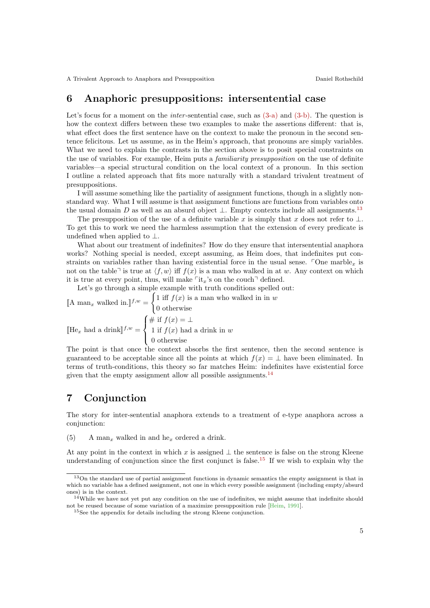### 6 Anaphoric presuppositions: intersentential case

Let's focus for a moment on the *inter*-sentential case, such as  $(3-a)$  and  $(3-b)$ . The question is how the context differs between these two examples to make the assertions different: that is, what effect does the first sentence have on the context to make the pronoun in the second sentence felicitous. Let us assume, as in the Heim's approach, that pronouns are simply variables. What we need to explain the contrasts in the section above is to posit special constraints on the use of variables. For example, Heim puts a familiarity presupposition on the use of definite variables—a special structural condition on the local context of a pronoun. In this section I outline a related approach that fits more naturally with a standard trivalent treatment of presuppositions.

I will assume something like the partiality of assignment functions, though in a slightly nonstandard way. What I will assume is that assignment functions are functions from variables onto the usual domain D as well as an absurd object  $\perp$ . Empty contexts include all assignments.<sup>[13](#page-4-0)</sup>

The presupposition of the use of a definite variable x is simply that x does not refer to  $\perp$ . To get this to work we need the harmless assumption that the extension of every predicate is undefined when applied to  $\perp$ .

What about our treatment of indefinites? How do they ensure that intersentential anaphora works? Nothing special is needed, except assuming, as Heim does, that indefinites put constraints on variables rather than having existential force in the usual sense.  $\Box$ One marble<sub>x</sub> is not on the table<sup> $\exists$ </sup> is true at  $\langle f, w \rangle$  iff  $f(x)$  is a man who walked in at w. Any context on which it is true at every point, thus, will make  $\lceil \text{it}_x \rceil$ 's on the couch $\lceil$  defined.

Let's go through a simple example with truth conditions spelled out:

[A man<sub>x</sub> walked in.]<sup> $f,w =$ </sup>  $\int 1$  iff  $f(x)$  is a man who walked in in w 0 otherwise  $[\![\text{He}_x \text{ had a drink}]\!]^{f,w} =$  $\sqrt{ }$  $\int$  $\mathcal{L}$ # if  $f(x) = \perp$ 1 if  $f(x)$  had a drink in w 0 otherwise

The point is that once the context absorbs the first sentence, then the second sentence is guaranteed to be acceptable since all the points at which  $f(x) = \perp$  have been eliminated. In terms of truth-conditions, this theory so far matches Heim: indefinites have existential force given that the empty assignment allow all possible assignments.<sup>[14](#page-4-1)</sup>

### 7 Conjunction

The story for inter-sentential anaphora extends to a treatment of e-type anaphora across a conjunction:

(5) A man<sub>x</sub> walked in and he<sub>x</sub> ordered a drink.

At any point in the context in which x is assigned  $\perp$  the sentence is false on the strong Kleene understanding of conjunction since the first conjunct is false.<sup>[15](#page-4-2)</sup> If we wish to explain why the

<span id="page-4-0"></span><sup>&</sup>lt;sup>13</sup>On the standard use of partial assignment functions in dynamic semantics the empty assignment is that in which no variable has a defined assignment, not one in which every possible assignment (including empty/absurd ones) is in the context.

<span id="page-4-1"></span> $14$ While we have not yet put any condition on the use of indefinites, we might assume that indefinite should not be reused because of some variation of a maximize presupposition rule [\[Heim,](#page-11-15) [1991\]](#page-11-15).

<span id="page-4-2"></span><sup>&</sup>lt;sup>15</sup>See the appendix for details including the strong Kleene conjunction.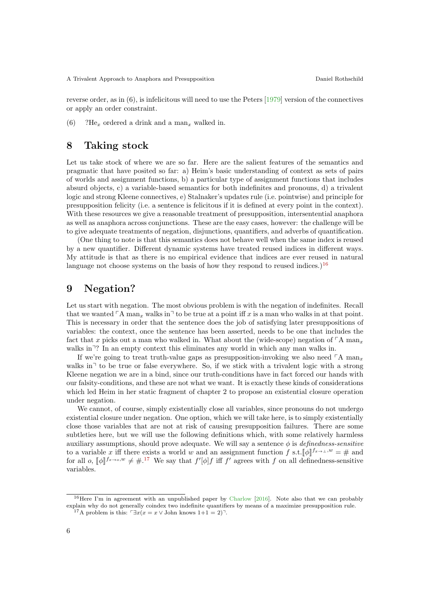reverse order, as in  $(6)$ , is infelicitous will need to use the Peters  $\left[1979\right]$  version of the connectives or apply an order constraint.

(6) ?He<sub>x</sub> ordered a drink and a man<sub>x</sub> walked in.

### 8 Taking stock

Let us take stock of where we are so far. Here are the salient features of the semantics and pragmatic that have posited so far: a) Heim's basic understanding of context as sets of pairs of worlds and assignment functions, b) a particular type of assignment functions that includes absurd objects, c) a variable-based semantics for both indefinites and pronouns, d) a trivalent logic and strong Kleene connectives, e) Stalnaker's updates rule (i.e. pointwise) and principle for presupposition felicity (i.e. a sentence is felicitous if it is defined at every point in the context). With these resources we give a reasonable treatment of presupposition, intersentential anaphora as well as anaphora across conjunctions. These are the easy cases, however: the challenge will be to give adequate treatments of negation, disjunctions, quantifiers, and adverbs of quantification.

(One thing to note is that this semantics does not behave well when the same index is reused by a new quantifier. Different dynamic systems have treated reused indices in different ways. My attitude is that as there is no empirical evidence that indices are ever reused in natural language not choose systems on the basis of how they respond to reused indices.)<sup>[16](#page-5-0)</sup>

### 9 Negation?

Let us start with negation. The most obvious problem is with the negation of indefinites. Recall that we wanted  $\ulcorner$  A man<sub>x</sub> walks in $\urcorner$  to be true at a point iff x is a man who walks in at that point. This is necessary in order that the sentence does the job of satisfying later presuppositions of variables: the context, once the sentence has been asserted, needs to be one that includes the fact that x picks out a man who walked in. What about the (wide-scope) negation of  $\ulcorner$  A man<sub>x</sub> walks in<sup> $\gamma$ </sup>? In an empty context this eliminates any world in which any man walks in.

If we're going to treat truth-value gaps as presupposition-invoking we also need  $\ulcorner A$  man<sub>x</sub> walks in<sup> $\uparrow$ </sup> to be true or false everywhere. So, if we stick with a trivalent logic with a strong Kleene negation we are in a bind, since our truth-conditions have in fact forced our hands with our falsity-conditions, and these are not what we want. It is exactly these kinds of considerations which led Heim in her static fragment of chapter 2 to propose an existential closure operation under negation.

We cannot, of course, simply existentially close all variables, since pronouns do not undergo existential closure under negation. One option, which we will take here, is to simply existentially close those variables that are not at risk of causing presupposition failures. There are some subtleties here, but we will use the following definitions which, with some relatively harmless auxiliary assumptions, should prove adequate. We will say a sentence  $\phi$  is *definedness-sensitive* to a variable x iff there exists a world w and an assignment function f s.t.  $[\![\phi]\!]^{f_{x\to\perp},w} = \#$  and<br>for all  $e^{\int [\![\phi]\!] f_{x\to 0},w} \neq \#^{17}$ . We say that  $f'[\![\phi]\!]^f$  iff  $f'$  agrees with f on all definedness somitive for all  $o$ ,  $[\![\phi]\!]^{f_{x\to o},w} \neq \#$ .<sup>[17](#page-5-1)</sup> We say that  $f'[\![\phi]\!] f$  iff  $f'$  agrees with  $f$  on all definedness-sensitive variables.

<span id="page-5-0"></span><sup>&</sup>lt;sup>16</sup>Here I'm in agreement with an unpublished paper by [Charlow](#page-10-3) [\[2016\]](#page-10-3). Note also that we can probably explain why do not generally coindex two indefinite quantifiers by means of a maximize presupposition rule.

<span id="page-5-1"></span><sup>&</sup>lt;sup>17</sup>A problem is this:  $\exists x(x = x \vee \text{John knows } 1+1 = 2)$ <sup>-1</sup>.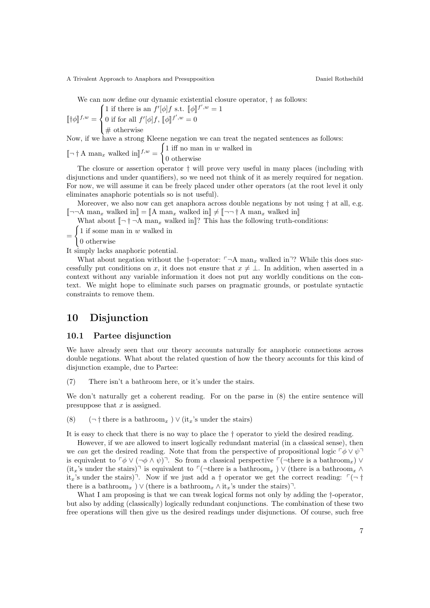A Trivalent Approach to Anaphora and Presupposition

We can now define our dynamic existential closure operator,  $\dagger$  as follows:

$$
[\![\dagger \phi]\!]^{f,w} = \begin{cases} 1 \text{ if there is an } f'[\phi]f \text{ s.t. } [\![\phi]\!]^{f',w} = 1 \\ 0 \text{ if for all } f'[\phi]f, [\![\phi]\!]^{f',w} = 0 \\ \# \text{ otherwise} \end{cases}
$$

Now, if we have a strong Kleene negation we can treat the negated sentences as follows:

#### $\lbrack\! \lbrack\neg\,\rbrack^{\dagger} A$  man<sub>x</sub> walked in  $\rrbracket^{f,w}$  =  $\int 1$  iff no man in w walked in 0 otherwise

The closure or assertion operator † will prove very useful in many places (including with disjunctions and under quantifiers), so we need not think of it as merely required for negation. For now, we will assume it can be freely placed under other operators (at the root level it only eliminates anaphoric potentials so is not useful).

Moreover, we also now can get anaphora across double negations by not using  $\dagger$  at all, e.g.  $\llbracket \neg \neg A \text{ man}_x \text{ walked in} \rrbracket = \llbracket A \text{ man}_x \text{ walked in} \rrbracket \neq \llbracket \neg \neg \dagger A \text{ man}_x \text{ walked in} \rrbracket$ 

What about  $\lceil -\dagger -A \rceil$  man<sub>x</sub> walked in ? This has the following truth-conditions:

=  $\int 1$  if some man in w walked in

 $\big\}$ 0 otherwise

It simply lacks anaphoric potential.

What about negation without the †-operator:  $\neg A$  man<sub>x</sub> walked in<sup> $\neg$ </sup>? While this does successfully put conditions on x, it does not ensure that  $x \neq \bot$ . In addition, when asserted in a context without any variable information it does not put any worldly conditions on the context. We might hope to eliminate such parses on pragmatic grounds, or postulate syntactic constraints to remove them.

### 10 Disjunction

#### 10.1 Partee disjunction

We have already seen that our theory accounts naturally for anaphoric connections across double negations. What about the related question of how the theory accounts for this kind of disjunction example, due to Partee:

(7) There isn't a bathroom here, or it's under the stairs.

We don't naturally get a coherent reading. For on the parse in (8) the entire sentence will presuppose that  $x$  is assigned.

(8)  $(\neg \dagger \text{ there is a bathroom}_x) \vee (\text{it}_x\text{'s under the stairs})$ 

It is easy to check that there is no way to place the † operator to yield the desired reading.

However, if we are allowed to insert logically redundant material (in a classical sense), then we can get the desired reading. Note that from the perspective of propositional logic  $\ulcorner \phi \lor \psi \urcorner$ is equivalent to  $\lceil \phi \vee (\neg \phi \wedge \psi) \rceil$ . So from a classical perspective  $\lceil (\neg \text{there is a bathroom}_x) \vee \rceil$  $(it<sub>x</sub>'s under the stairs)<sup>¬</sup> is equivalent to  $\ulcorner(\neg there is a bathroom<sub>x</sub>) \lor$  (there is a bathroom<sub>x</sub> ∧$ it<sub>x</sub>'s under the stairs)<sup> $\bar{ }$ </sup>. Now if we just add a † operator we get the correct reading:  $\bar{ }$   $\bar{ }$  + there is a bathroom<sub>x</sub> ) ∨ (there is a bathroom<sub>x</sub>  $\wedge$  it<sub>x</sub>'s under the stairs)<sup> $\exists$ </sup>.

What I am proposing is that we can tweak logical forms not only by adding the  $\dagger$ -operator, but also by adding (classically) logically redundant conjunctions. The combination of these two free operations will then give us the desired readings under disjunctions. Of course, such free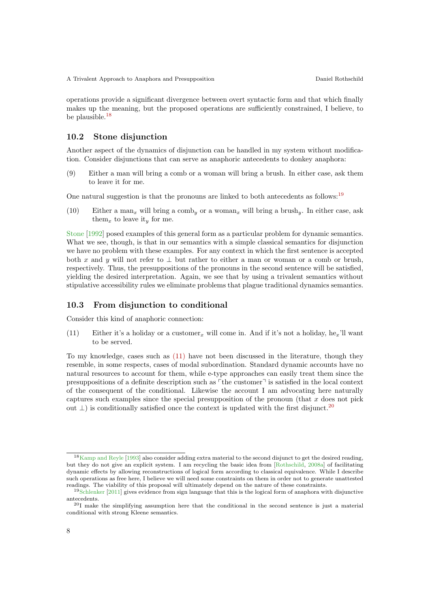operations provide a significant divergence between overt syntactic form and that which finally makes up the meaning, but the proposed operations are sufficiently constrained, I believe, to be plausible.[18](#page-7-0)

#### 10.2 Stone disjunction

Another aspect of the dynamics of disjunction can be handled in my system without modification. Consider disjunctions that can serve as anaphoric antecedents to donkey anaphora:

(9) Either a man will bring a comb or a woman will bring a brush. In either case, ask them to leave it for me.

One natural suggestion is that the pronouns are linked to both antecedents as follows:<sup>[19](#page-7-1)</sup>

(10) Either a man<sub>x</sub> will bring a comb<sub>y</sub> or a woman<sub>x</sub> will bring a brush<sub>y</sub>. In either case, ask them<sub>x</sub> to leave it<sub>y</sub> for me.

[Stone](#page-12-8) [\[1992\]](#page-12-8) posed examples of this general form as a particular problem for dynamic semantics. What we see, though, is that in our semantics with a simple classical semantics for disjunction we have no problem with these examples. For any context in which the first sentence is accepted both x and y will not refer to  $\perp$  but rather to either a man or woman or a comb or brush, respectively. Thus, the presuppositions of the pronouns in the second sentence will be satisfied, yielding the desired interpretation. Again, we see that by using a trivalent semantics without stipulative accessibility rules we eliminate problems that plague traditional dynamics semantics.

#### 10.3 From disjunction to conditional

<span id="page-7-2"></span>Consider this kind of anaphoric connection:

(11) Either it's a holiday or a customer<sub>x</sub> will come in. And if it's not a holiday, he<sub>x</sub>'ll want to be served.

To my knowledge, cases such as [\(11\)](#page-7-2) have not been discussed in the literature, though they resemble, in some respects, cases of modal subordination. Standard dynamic accounts have no natural resources to account for them, while e-type approaches can easily treat them since the presuppositions of a definite description such as  $\ulcorner$  the customer $\urcorner$  is satisfied in the local context of the consequent of the conditional. Likewise the account I am advocating here naturally captures such examples since the special presupposition of the pronoun (that  $x$  does not pick out  $\perp$ ) is conditionally satisfied once the context is updated with the first disjunct.<sup>[20](#page-7-3)</sup>

<span id="page-7-0"></span><sup>&</sup>lt;sup>18</sup>[Kamp and Reyle](#page-11-16) [\[1993\]](#page-11-16) also consider adding extra material to the second disjunct to get the desired reading, but they do not give an explicit system. I am recycling the basic idea from [\[Rothschild,](#page-11-17) [2008a\]](#page-11-17) of facilitating dynamic effects by allowing reconstructions of logical form according to classical equivalence. While I describe such operations as free here, I believe we will need some constraints on them in order not to generate unattested readings. The viability of this proposal will ultimately depend on the nature of these constraints.

<span id="page-7-1"></span><sup>19</sup>[Schlenker](#page-12-9) [\[2011\]](#page-12-9) gives evidence from sign language that this is the logical form of anaphora with disjunctive antecedents.

<span id="page-7-3"></span><sup>20</sup>I make the simplifying assumption here that the conditional in the second sentence is just a material conditional with strong Kleene semantics.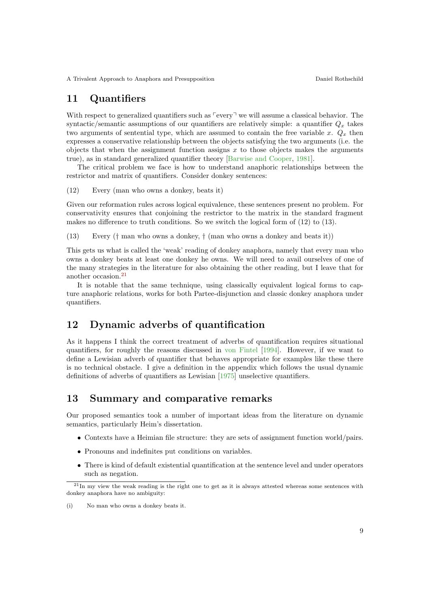### 11 Quantifiers

With respect to generalized quantifiers such as  $\lceil \text{every} \rceil$  we will assume a classical behavior. The syntactic/semantic assumptions of our quantifiers are relatively simple: a quantifier  $Q_x$  takes two arguments of sentential type, which are assumed to contain the free variable x.  $Q_x$  then expresses a conservative relationship between the objects satisfying the two arguments (i.e. the objects that when the assignment function assigns  $x$  to those objects makes the arguments true), as in standard generalized quantifier theory [\[Barwise and Cooper,](#page-10-4) [1981\]](#page-10-4).

The critical problem we face is how to understand anaphoric relationships between the restrictor and matrix of quantifiers. Consider donkey sentences:

(12) Every (man who owns a donkey, beats it)

Given our reformation rules across logical equivalence, these sentences present no problem. For conservativity ensures that conjoining the restrictor to the matrix in the standard fragment makes no difference to truth conditions. So we switch the logical form of (12) to (13).

(13) Every († man who owns a donkey, † (man who owns a donkey and beats it))

This gets us what is called the 'weak' reading of donkey anaphora, namely that every man who owns a donkey beats at least one donkey he owns. We will need to avail ourselves of one of the many strategies in the literature for also obtaining the other reading, but I leave that for another occasion.[21](#page-8-0)

It is notable that the same technique, using classically equivalent logical forms to capture anaphoric relations, works for both Partee-disjunction and classic donkey anaphora under quantifiers.

### 12 Dynamic adverbs of quantification

As it happens I think the correct treatment of adverbs of quantification requires situational quantifiers, for roughly the reasons discussed in [von Fintel](#page-12-10) [\[1994\]](#page-12-10). However, if we want to define a Lewisian adverb of quantifier that behaves appropriate for examples like these there is no technical obstacle. I give a definition in the appendix which follows the usual dynamic definitions of adverbs of quantifiers as Lewisian [\[1975\]](#page-11-18) unselective quantifiers.

### 13 Summary and comparative remarks

Our proposed semantics took a number of important ideas from the literature on dynamic semantics, particularly Heim's dissertation.

- Contexts have a Heimian file structure: they are sets of assignment function world/pairs.
- Pronouns and indefinites put conditions on variables.
- There is kind of default existential quantification at the sentence level and under operators such as negation.

<span id="page-8-0"></span> $^{21}$ In my view the weak reading is the right one to get as it is always attested whereas some sentences with donkey anaphora have no ambiguity:

<sup>(</sup>i) No man who owns a donkey beats it.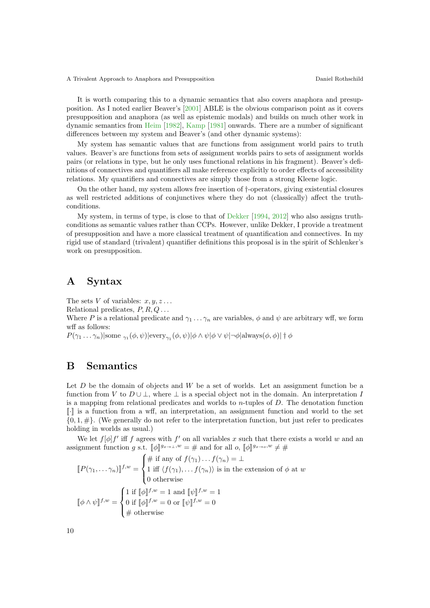A Trivalent Approach to Anaphora and Presupposition Daniel Rothschild

It is worth comparing this to a dynamic semantics that also covers anaphora and presupposition. As I noted earlier Beaver's [\[2001\]](#page-10-0) ABLE is the obvious comparison point as it covers presupposition and anaphora (as well as epistemic modals) and builds on much other work in dynamic semantics from [Heim](#page-11-0) [\[1982\]](#page-11-0), [Kamp](#page-11-19) [\[1981\]](#page-11-19) onwards. There are a number of significant differences between my system and Beaver's (and other dynamic systems):

My system has semantic values that are functions from assignment world pairs to truth values. Beaver's are functions from sets of assignment worlds pairs to sets of assignment worlds pairs (or relations in type, but he only uses functional relations in his fragment). Beaver's definitions of connectives and quantifiers all make reference explicitly to order effects of accessibility relations. My quantifiers and connectives are simply those from a strong Kleene logic.

On the other hand, my system allows free insertion of †-operators, giving existential closures as well restricted additions of conjunctives where they do not (classically) affect the truthconditions.

My system, in terms of type, is close to that of [Dekker](#page-10-2) [\[1994,](#page-10-2) [2012\]](#page-11-9) who also assigns truthconditions as semantic values rather than CCPs. However, unlike Dekker, I provide a treatment of presupposition and have a more classical treatment of quantification and connectives. In my rigid use of standard (trivalent) quantifier definitions this proposal is in the spirit of Schlenker's work on presupposition.

### A Syntax

The sets V of variables:  $x, y, z \ldots$ 

Relational predicates,  $P, R, Q \ldots$ 

Where P is a relational predicate and  $\gamma_1 \ldots \gamma_n$  are variables,  $\phi$  and  $\psi$  are arbitrary wff, we form wff as follows:

 $P(\gamma_1 \dots \gamma_n)$ |some  $\gamma_1(\phi, \psi)$ |every $\gamma_1(\phi, \psi)$ | $\phi \wedge \psi$ | $\phi \vee \psi$ | $\neg \phi$ |always $(\phi, \phi)$ | $\dagger \phi$ 

### B Semantics

Let  $D$  be the domain of objects and  $W$  be a set of worlds. Let an assignment function be a function from V to  $D \cup \bot$ , where  $\bot$  is a special object not in the domain. An interpretation I is a mapping from relational predicates and worlds to  $n$ -tuples of  $D$ . The denotation function  $\mathbb{F}$  is a function from a wff, an interpretation, an assignment function and world to the set  $\{0, 1, \#\}$ . (We generally do not refer to the interpretation function, but just refer to predicates holding in worlds as usual.)

We let  $f[\phi]f'$  iff f agrees with f' on all variables x such that there exists a world w and an assignment function g s.t.  $[\![\phi]\!]^{g_x \to \bot, w} = \#$  and for all  $o, [\![\phi]\!]^{g_x \to o, w} \neq \#$ 

$$
[\![P(\gamma_1, \ldots \gamma_n)]\!]^{f,w} = \begin{cases} \# \text{ if any of } f(\gamma_1) \ldots f(\gamma_n) = \bot \\ 1 \text{ iff } \langle f(\gamma_1), \ldots f(\gamma_n) \rangle \text{ is in the extension of } \phi \text{ at } w \\ 0 \text{ otherwise} \end{cases}
$$

$$
[\![\phi \wedge \psi]\!]^{f,w} = \begin{cases} 1 \text{ if } [\![\phi]\!]^{f,w} = 1 \text{ and } [\![\psi]\!]^{f,w} = 1 \\ 0 \text{ if } [\![\phi]\!]^{f,w} = 0 \text{ or } [\![\psi]\!]^{f,w} = 0 \\ \# \text{ otherwise} \end{cases}
$$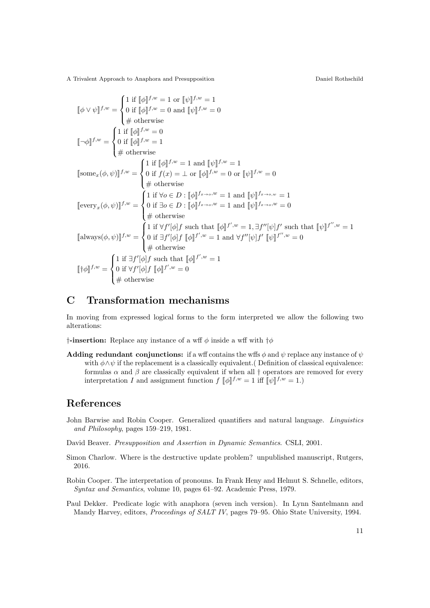A Trivalent Approach to Anaphora and Presupposition Daniel Rothschild

$$
\llbracket \phi \vee \psi \rrbracket^{f,w} = \begin{cases}\n1 \text{ if } \llbracket \phi \rrbracket^{f,w} = 1 \text{ or } \llbracket \psi \rrbracket^{f,w} = 0 \\
\# \text{ otherwise} \\
\# \text{ otherwise} \\
\# \text{ otherwise} \\
\text{[some}_x(\phi, \psi)]^{f,w} = \begin{cases}\n1 \text{ if } \llbracket \phi \rrbracket^{f,w} = 0 \\
0 \text{ if } \llbracket \phi \rrbracket^{f,w} = 1 \\
\# \text{ otherwise} \\
\# \text{ otherwise} \\
\# \text{ otherwise} \\
\# \text{ otherwise} \\
\# \text{ otherwise} \\
\text{[every}_x(\phi, \psi)]^{f,w} = \begin{cases}\n1 \text{ if } \llbracket \phi \rrbracket^{f,w} = 1 \text{ and } \llbracket \psi \rrbracket^{f,w} = 1 \\
0 \text{ if } f(x) = \bot \text{ or } \llbracket \phi \rrbracket^{f,w} = 0 \text{ or } \llbracket \psi \rrbracket^{f,w} = 0 \\
\# \text{ otherwise} \\
\# \text{ otherwise} \\
\# \text{ otherwise} \\
\# \text{ otherwise} \\
\text{[always}(\phi, \psi)]^{f,w} = \begin{cases}\n1 \text{ if } \forall f'[\phi]f \text{ such that } \llbracket \phi \rrbracket^{f',w} = 1, \exists f'[\psi]f' \text{ such that } \llbracket \psi \rrbracket^{f',w} = 0 \\
\# \text{ otherwise} \\
\# \text{ otherwise} \\
\# \text{ otherwise} \\
\# \text{ otherwise} \\
\#\text{ otherwise} \\
\#\text{ otherwise} \\
\pi \text{ if } \exists f'[\phi]f \text{ such that } \llbracket \phi \rrbracket^{f',w} = 1 \\
\# \text{ otherwise} \\
\#\text{ otherwise} \\
\pi \text{ otherwise} \\
\pi \text{ otherwise} \\
\pi \text{ otherwise} \\
\pi \text{ otherwise} \\
\pi \text{ otherwise} \\
\pi \text{ otherwise} \\
\pi \text{ otherwise} \\
\pi \text{ otherwise} \\
\pi \text{ otherwise} \\
\pi \text{ otherwise} \\
\pi \text{ otherwise} \\
\pi \text{ otherwise} \\
\pi \text{ otherwise} \\
\pi \text{ otherwise} \\
\pi \text{ otherwise} \\
\pi \text{ otherwise} \\
\pi \text{ otherwise} \\
\pi \text{ otherwise} \\
\pi \text{ otherwise} \\
\pi \text{ otherwise} \\
\pi \text{ otherwise} \\
\pi \text{ otherwise} \\
\pi \text{ otherwise} \\
\pi \text{ otherwise} \\
\pi \text
$$

## C Transformation mechanisms

In moving from expressed logical forms to the form interpreted we allow the following two alterations:

 $\dagger$ -insertion: Replace any instance of a wff  $\phi$  inside a wff with  $\dagger \phi$ 

Adding redundant conjunctions: if a wff contains the wffs  $\phi$  and  $\psi$  replace any instance of  $\psi$ with  $\phi \land \psi$  if the replacement is a classically equivalent. (Definition of classical equivalence: formulas  $\alpha$  and  $\beta$  are classically equivalent if when all  $\dagger$  operators are removed for every interpretation I and assignment function  $f \llbracket \phi \rrbracket^{f,w} = 1$  iff  $\llbracket \psi \rrbracket^{f,w} = 1$ .)

# References

<span id="page-10-4"></span>John Barwise and Robin Cooper. Generalized quantifiers and natural language. Linguistics and Philosophy, pages 159–219, 1981.

<span id="page-10-0"></span>David Beaver. Presupposition and Assertion in Dynamic Semantics. CSLI, 2001.

- <span id="page-10-3"></span>Simon Charlow. Where is the destructive update problem? unpublished manuscript, Rutgers, 2016.
- <span id="page-10-1"></span>Robin Cooper. The interpretation of pronouns. In Frank Heny and Helmut S. Schnelle, editors, Syntax and Semantics, volume 10, pages 61–92. Academic Press, 1979.
- <span id="page-10-2"></span>Paul Dekker. Predicate logic with anaphora (seven inch version). In Lynn Santelmann and Mandy Harvey, editors, *Proceedings of SALT IV*, pages 79–95. Ohio State University, 1994.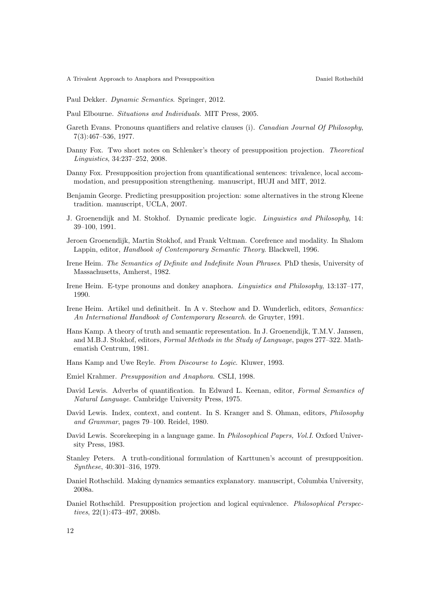<span id="page-11-9"></span>Paul Dekker. Dynamic Semantics. Springer, 2012.

- <span id="page-11-2"></span>Paul Elbourne. Situations and Individuals. MIT Press, 2005.
- <span id="page-11-8"></span>Gareth Evans. Pronouns quantifiers and relative clauses (i). Canadian Journal Of Philosophy, 7(3):467–536, 1977.
- <span id="page-11-6"></span>Danny Fox. Two short notes on Schlenker's theory of presupposition projection. Theoretical Linguistics, 34:237–252, 2008.
- <span id="page-11-7"></span>Danny Fox. Presupposition projection from quantificational sentences: trivalence, local accommodation, and presupposition strengthening. manuscript, HUJI and MIT, 2012.
- <span id="page-11-5"></span>Benjamin George. Predicting presupposition projection: some alternatives in the strong Kleene tradition. manuscript, UCLA, 2007.
- <span id="page-11-10"></span>J. Groenendijk and M. Stokhof. Dynamic predicate logic. Linguistics and Philosophy, 14: 39–100, 1991.
- <span id="page-11-11"></span>Jeroen Groenendijk, Martin Stokhof, and Frank Veltman. Corefrence and modality. In Shalom Lappin, editor, Handbook of Contemporary Semantic Theory. Blackwell, 1996.
- <span id="page-11-0"></span>Irene Heim. The Semantics of Definite and Indefinite Noun Phrases. PhD thesis, University of Massachusetts, Amherst, 1982.
- <span id="page-11-1"></span>Irene Heim. E-type pronouns and donkey anaphora. Linguistics and Philosophy, 13:137–177, 1990.
- <span id="page-11-15"></span>Irene Heim. Artikel und definitheit. In A v. Stechow and D. Wunderlich, editors, Semantics: An International Handbook of Contemporary Research. de Gruyter, 1991.
- <span id="page-11-19"></span>Hans Kamp. A theory of truth and semantic representation. In J. Groenendijk, T.M.V. Janssen, and M.B.J. Stokhof, editors, Formal Methods in the Study of Language, pages 277–322. Mathematish Centrum, 1981.
- <span id="page-11-16"></span>Hans Kamp and Uwe Reyle. From Discourse to Logic. Kluwer, 1993.
- <span id="page-11-4"></span>Emiel Krahmer. Presupposition and Anaphora. CSLI, 1998.
- <span id="page-11-18"></span>David Lewis. Adverbs of quantification. In Edward L. Keenan, editor, Formal Semantics of Natural Language. Cambridge University Press, 1975.
- <span id="page-11-13"></span>David Lewis. Index, context, and content. In S. Kranger and S. Ohman, editors, *Philosophy* and Grammar, pages 79–100. Reidel, 1980.
- <span id="page-11-12"></span>David Lewis. Scorekeeping in a language game. In Philosophical Papers, Vol.I. Oxford University Press, 1983.
- <span id="page-11-3"></span>Stanley Peters. A truth-conditional formulation of Karttunen's account of presupposition. Synthese, 40:301–316, 1979.
- <span id="page-11-17"></span>Daniel Rothschild. Making dynamics semantics explanatory. manuscript, Columbia University, 2008a.
- <span id="page-11-14"></span>Daniel Rothschild. Presupposition projection and logical equivalence. Philosophical Perspectives, 22(1):473–497, 2008b.